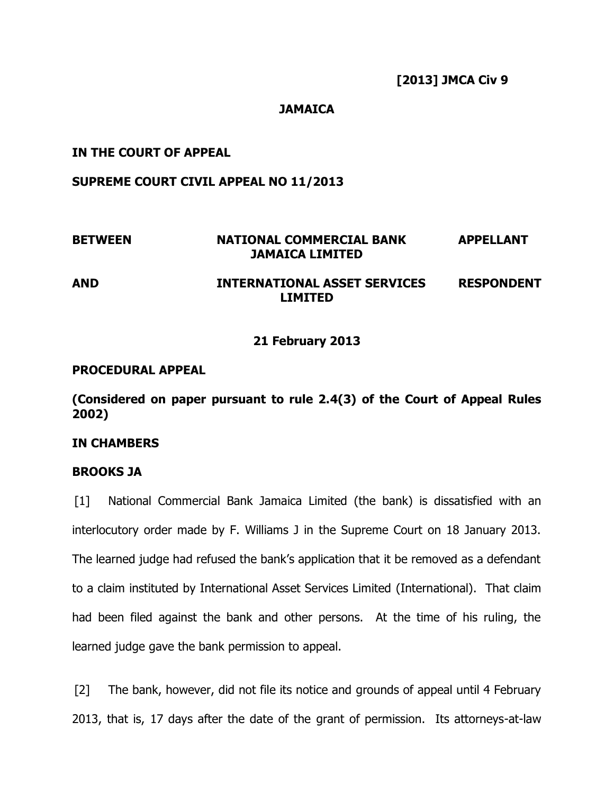# **JAMAICA**

# **IN THE COURT OF APPEAL**

### **SUPREME COURT CIVIL APPEAL NO 11/2013**

# **BETWEEN NATIONAL COMMERCIAL BANK APPELLANT JAMAICA LIMITED AND INTERNATIONAL ASSET SERVICES RESPONDENT**

### **21 February 2013**

**LIMITED**

# **PROCEDURAL APPEAL**

**(Considered on paper pursuant to rule 2.4(3) of the Court of Appeal Rules 2002)**

#### **IN CHAMBERS**

#### **BROOKS JA**

[1] National Commercial Bank Jamaica Limited (the bank) is dissatisfied with an interlocutory order made by F. Williams J in the Supreme Court on 18 January 2013. The learned judge had refused the bank's application that it be removed as a defendant to a claim instituted by International Asset Services Limited (International). That claim had been filed against the bank and other persons. At the time of his ruling, the learned judge gave the bank permission to appeal.

[2] The bank, however, did not file its notice and grounds of appeal until 4 February 2013, that is, 17 days after the date of the grant of permission. Its attorneys-at-law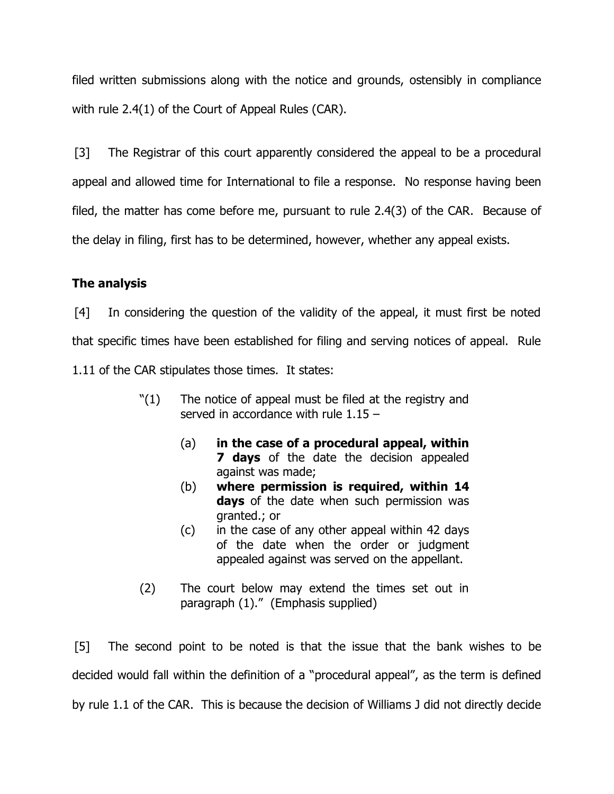filed written submissions along with the notice and grounds, ostensibly in compliance with rule 2.4(1) of the Court of Appeal Rules (CAR).

[3] The Registrar of this court apparently considered the appeal to be a procedural appeal and allowed time for International to file a response. No response having been filed, the matter has come before me, pursuant to rule 2.4(3) of the CAR. Because of the delay in filing, first has to be determined, however, whether any appeal exists.

# **The analysis**

[4] In considering the question of the validity of the appeal, it must first be noted that specific times have been established for filing and serving notices of appeal. Rule 1.11 of the CAR stipulates those times. It states:

- "(1) The notice of appeal must be filed at the registry and served in accordance with rule 1.15 –
	- (a) **in the case of a procedural appeal, within 7 days** of the date the decision appealed against was made;
	- (b) **where permission is required, within 14 days** of the date when such permission was granted.; or
	- (c) in the case of any other appeal within 42 days of the date when the order or judgment appealed against was served on the appellant.
- (2) The court below may extend the times set out in paragraph (1)." (Emphasis supplied)

[5] The second point to be noted is that the issue that the bank wishes to be decided would fall within the definition of a "procedural appeal", as the term is defined by rule 1.1 of the CAR. This is because the decision of Williams J did not directly decide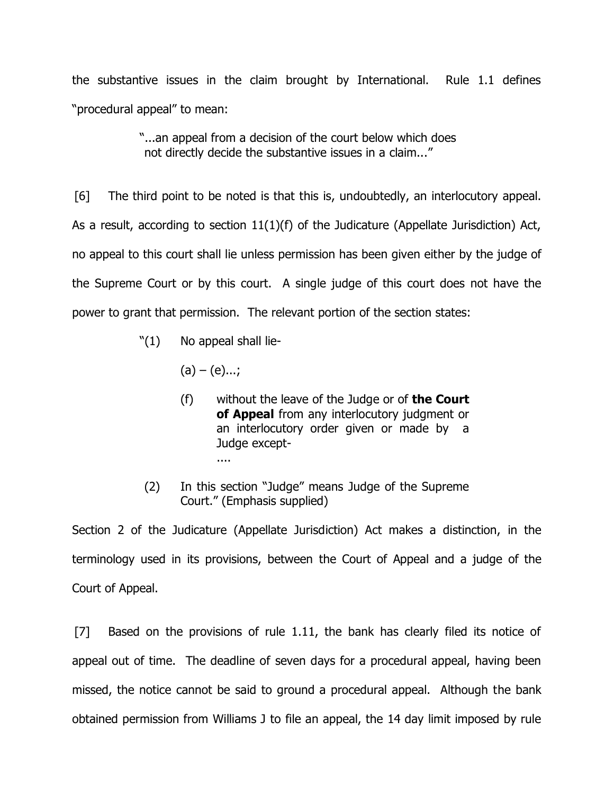the substantive issues in the claim brought by International. Rule 1.1 defines "procedural appeal" to mean:

> "...an appeal from a decision of the court below which does not directly decide the substantive issues in a claim..."

[6] The third point to be noted is that this is, undoubtedly, an interlocutory appeal. As a result, according to section 11(1)(f) of the Judicature (Appellate Jurisdiction) Act, no appeal to this court shall lie unless permission has been given either by the judge of the Supreme Court or by this court. A single judge of this court does not have the power to grant that permission. The relevant portion of the section states:

- $"(1)$  No appeal shall lie-
	- $(a) (e)...;$
	- (f) without the leave of the Judge or of **the Court of Appeal** from any interlocutory judgment or an interlocutory order given or made by a Judge except- ....
- (2) In this section "Judge" means Judge of the Supreme Court." (Emphasis supplied)

Section 2 of the Judicature (Appellate Jurisdiction) Act makes a distinction, in the terminology used in its provisions, between the Court of Appeal and a judge of the Court of Appeal.

[7] Based on the provisions of rule 1.11, the bank has clearly filed its notice of appeal out of time. The deadline of seven days for a procedural appeal, having been missed, the notice cannot be said to ground a procedural appeal. Although the bank obtained permission from Williams J to file an appeal, the 14 day limit imposed by rule